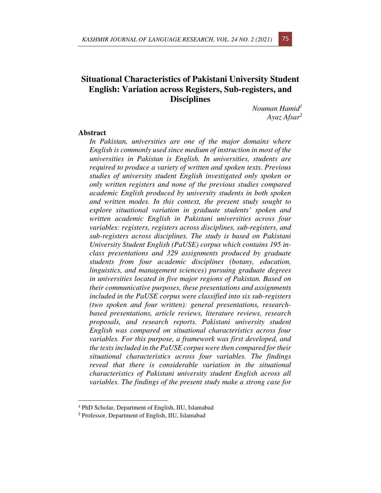# **Situational Characteristics of Pakistani University Student English: Variation across Registers, Sub-registers, and Disciplines**

*Nouman Hamid<sup>1</sup> Ayaz Afsar<sup>2</sup>*

#### **Abstract**

*In Pakistan, universities are one of the major domains where English is commonly used since medium of instruction in most of the universities in Pakistan is English. In universities, students are required to produce a variety of written and spoken texts. Previous studies of university student English investigated only spoken or only written registers and none of the previous studies compared academic English produced by university students in both spoken and written modes. In this context, the present study sought to explore situational variation in graduate students' spoken and written academic English in Pakistani universities across four variables: registers, registers across disciplines, sub-registers, and sub-registers across disciplines. The study is based on Pakistani University Student English (PaUSE) corpus which contains 195 inclass presentations and 329 assignments produced by graduate students from four academic disciplines (botany, education, linguistics, and management sciences) pursuing graduate degrees in universities located in five major regions of Pakistan. Based on their communicative purposes, these presentations and assignments included in the PaUSE corpus were classified into six sub-registers (two spoken and four written): general presentations, researchbased presentations, article reviews, literature reviews, research proposals, and research reports. Pakistani university student English was compared on situational characteristics across four variables. For this purpose, a framework was first developed, and the texts included in the PaUSE corpus were then compared for their situational characteristics across four variables. The findings reveal that there is considerable variation in the situational characteristics of Pakistani university student English across all variables. The findings of the present study make a strong case for* 

<sup>1</sup> PhD Scholar, Department of English, IIU, Islamabad

<sup>2</sup> Professor, Department of English, IIU, Islamabad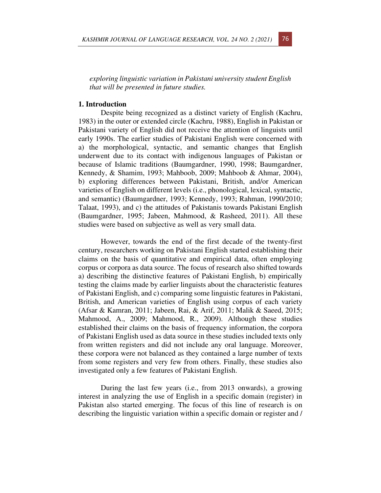*exploring linguistic variation in Pakistani university student English that will be presented in future studies.* 

#### **1. Introduction**

Despite being recognized as a distinct variety of English (Kachru, 1983) in the outer or extended circle (Kachru, 1988), English in Pakistan or Pakistani variety of English did not receive the attention of linguists until early 1990s. The earlier studies of Pakistani English were concerned with a) the morphological, syntactic, and semantic changes that English underwent due to its contact with indigenous languages of Pakistan or because of Islamic traditions (Baumgardner, 1990, 1998; Baumgardner, Kennedy, & Shamim, 1993; Mahboob, 2009; Mahboob & Ahmar, 2004), b) exploring differences between Pakistani, British, and/or American varieties of English on different levels (i.e., phonological, lexical, syntactic, and semantic) (Baumgardner, 1993; Kennedy, 1993; Rahman, 1990/2010; Talaat, 1993), and c) the attitudes of Pakistanis towards Pakistani English (Baumgardner, 1995; Jabeen, Mahmood, & Rasheed, 2011). All these studies were based on subjective as well as very small data.

However, towards the end of the first decade of the twenty-first century, researchers working on Pakistani English started establishing their claims on the basis of quantitative and empirical data, often employing corpus or corpora as data source. The focus of research also shifted towards a) describing the distinctive features of Pakistani English, b) empirically testing the claims made by earlier linguists about the characteristic features of Pakistani English, and c) comparing some linguistic features in Pakistani, British, and American varieties of English using corpus of each variety (Afsar & Kamran, 2011; Jabeen, Rai, & Arif, 2011; Malik & Saeed, 2015; Mahmood, A., 2009; Mahmood, R., 2009). Although these studies established their claims on the basis of frequency information, the corpora of Pakistani English used as data source in these studies included texts only from written registers and did not include any oral language. Moreover, these corpora were not balanced as they contained a large number of texts from some registers and very few from others. Finally, these studies also investigated only a few features of Pakistani English.

During the last few years (i.e., from 2013 onwards), a growing interest in analyzing the use of English in a specific domain (register) in Pakistan also started emerging. The focus of this line of research is on describing the linguistic variation within a specific domain or register and /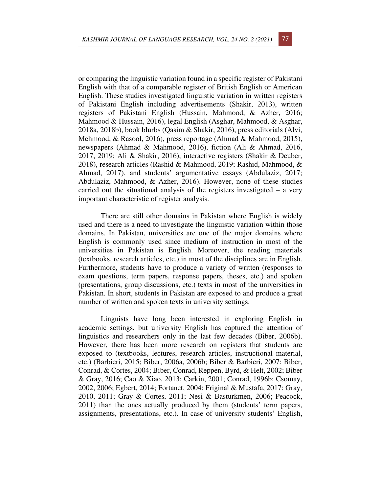or comparing the linguistic variation found in a specific register of Pakistani English with that of a comparable register of British English or American English. These studies investigated linguistic variation in written registers of Pakistani English including advertisements (Shakir, 2013), written registers of Pakistani English (Hussain, Mahmood, & Azher, 2016; Mahmood & Hussain, 2016), legal English (Asghar, Mahmood, & Asghar, 2018a, 2018b), book blurbs (Qasim & Shakir, 2016), press editorials (Alvi, Mehmood, & Rasool, 2016), press reportage (Ahmad & Mahmood, 2015), newspapers (Ahmad & Mahmood, 2016), fiction (Ali & Ahmad, 2016, 2017, 2019; Ali & Shakir, 2016), interactive registers (Shakir & Deuber, 2018), research articles (Rashid & Mahmood, 2019; Rashid, Mahmood, & Ahmad, 2017), and students' argumentative essays (Abdulaziz, 2017; Abdulaziz, Mahmood, & Azher, 2016). However, none of these studies carried out the situational analysis of the registers investigated – a very important characteristic of register analysis.

There are still other domains in Pakistan where English is widely used and there is a need to investigate the linguistic variation within those domains. In Pakistan, universities are one of the major domains where English is commonly used since medium of instruction in most of the universities in Pakistan is English. Moreover, the reading materials (textbooks, research articles, etc.) in most of the disciplines are in English. Furthermore, students have to produce a variety of written (responses to exam questions, term papers, response papers, theses, etc.) and spoken (presentations, group discussions, etc.) texts in most of the universities in Pakistan. In short, students in Pakistan are exposed to and produce a great number of written and spoken texts in university settings.

Linguists have long been interested in exploring English in academic settings, but university English has captured the attention of linguistics and researchers only in the last few decades (Biber, 2006b). However, there has been more research on registers that students are exposed to (textbooks, lectures, research articles, instructional material, etc.) (Barbieri, 2015; Biber, 2006a, 2006b; Biber & Barbieri, 2007; Biber, Conrad, & Cortes, 2004; Biber, Conrad, Reppen, Byrd, & Helt, 2002; Biber & Gray, 2016; Cao & Xiao, 2013; Carkin, 2001; Conrad, 1996b; Csomay, 2002, 2006; Egbert, 2014; Fortanet, 2004; Friginal & Mustafa, 2017; Gray, 2010, 2011; Gray & Cortes, 2011; Nesi & Basturkmen, 2006; Peacock, 2011) than the ones actually produced by them (students' term papers, assignments, presentations, etc.). In case of university students' English,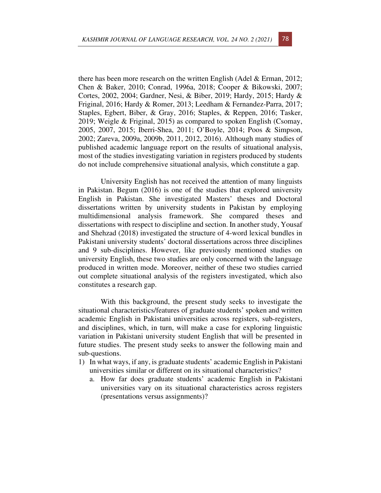there has been more research on the written English (Adel & Erman, 2012; Chen & Baker, 2010; Conrad, 1996a, 2018; Cooper & Bikowski, 2007; Cortes, 2002, 2004; Gardner, Nesi, & Biber, 2019; Hardy, 2015; Hardy & Friginal, 2016; Hardy & Romer, 2013; Leedham & Fernandez-Parra, 2017; Staples, Egbert, Biber, & Gray, 2016; Staples, & Reppen, 2016; Tasker, 2019; Weigle & Friginal, 2015) as compared to spoken English (Csomay, 2005, 2007, 2015; Iberri-Shea, 2011; O'Boyle, 2014; Poos & Simpson, 2002; Zareva, 2009a, 2009b, 2011, 2012, 2016). Although many studies of published academic language report on the results of situational analysis, most of the studies investigating variation in registers produced by students do not include comprehensive situational analysis, which constitute a gap.

University English has not received the attention of many linguists in Pakistan. Begum (2016) is one of the studies that explored university English in Pakistan. She investigated Masters' theses and Doctoral dissertations written by university students in Pakistan by employing multidimensional analysis framework. She compared theses and dissertations with respect to discipline and section. In another study, Yousaf and Shehzad (2018) investigated the structure of 4-word lexical bundles in Pakistani university students' doctoral dissertations across three disciplines and 9 sub-disciplines. However, like previously mentioned studies on university English, these two studies are only concerned with the language produced in written mode. Moreover, neither of these two studies carried out complete situational analysis of the registers investigated, which also constitutes a research gap.

With this background, the present study seeks to investigate the situational characteristics/features of graduate students' spoken and written academic English in Pakistani universities across registers, sub-registers, and disciplines, which, in turn, will make a case for exploring linguistic variation in Pakistani university student English that will be presented in future studies. The present study seeks to answer the following main and sub-questions.

- 1) In what ways, if any, is graduate students' academic English in Pakistani universities similar or different on its situational characteristics?
	- a. How far does graduate students' academic English in Pakistani universities vary on its situational characteristics across registers (presentations versus assignments)?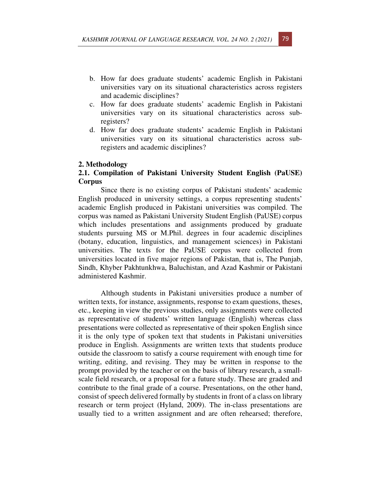- b. How far does graduate students' academic English in Pakistani universities vary on its situational characteristics across registers and academic disciplines?
- c. How far does graduate students' academic English in Pakistani universities vary on its situational characteristics across subregisters?
- d. How far does graduate students' academic English in Pakistani universities vary on its situational characteristics across subregisters and academic disciplines?

#### **2. Methodology**

#### **2.1. Compilation of Pakistani University Student English (PaUSE) Corpus**

Since there is no existing corpus of Pakistani students' academic English produced in university settings, a corpus representing students' academic English produced in Pakistani universities was compiled. The corpus was named as Pakistani University Student English (PaUSE) corpus which includes presentations and assignments produced by graduate students pursuing MS or M.Phil. degrees in four academic disciplines (botany, education, linguistics, and management sciences) in Pakistani universities. The texts for the PaUSE corpus were collected from universities located in five major regions of Pakistan, that is, The Punjab, Sindh, Khyber Pakhtunkhwa, Baluchistan, and Azad Kashmir or Pakistani administered Kashmir.

Although students in Pakistani universities produce a number of written texts, for instance, assignments, response to exam questions, theses, etc., keeping in view the previous studies, only assignments were collected as representative of students' written language (English) whereas class presentations were collected as representative of their spoken English since it is the only type of spoken text that students in Pakistani universities produce in English. Assignments are written texts that students produce outside the classroom to satisfy a course requirement with enough time for writing, editing, and revising. They may be written in response to the prompt provided by the teacher or on the basis of library research, a smallscale field research, or a proposal for a future study. These are graded and contribute to the final grade of a course. Presentations, on the other hand, consist of speech delivered formally by students in front of a class on library research or term project (Hyland, 2009). The in-class presentations are usually tied to a written assignment and are often rehearsed; therefore,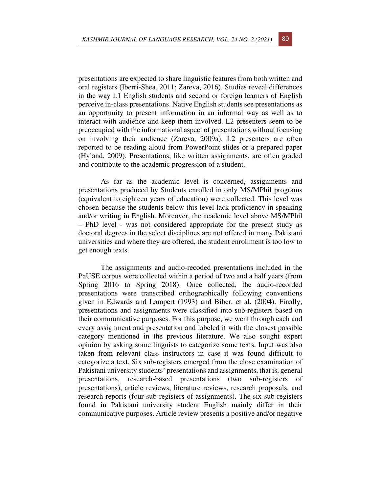presentations are expected to share linguistic features from both written and oral registers (Iberri-Shea, 2011; Zareva, 2016). Studies reveal differences in the way L1 English students and second or foreign learners of English perceive in-class presentations. Native English students see presentations as an opportunity to present information in an informal way as well as to interact with audience and keep them involved. L2 presenters seem to be preoccupied with the informational aspect of presentations without focusing on involving their audience (Zareva, 2009a). L2 presenters are often reported to be reading aloud from PowerPoint slides or a prepared paper (Hyland, 2009). Presentations, like written assignments, are often graded and contribute to the academic progression of a student.

As far as the academic level is concerned, assignments and presentations produced by Students enrolled in only MS/MPhil programs (equivalent to eighteen years of education) were collected. This level was chosen because the students below this level lack proficiency in speaking and/or writing in English. Moreover, the academic level above MS/MPhil – PhD level - was not considered appropriate for the present study as doctoral degrees in the select disciplines are not offered in many Pakistani universities and where they are offered, the student enrollment is too low to get enough texts.

The assignments and audio-recoded presentations included in the PaUSE corpus were collected within a period of two and a half years (from Spring 2016 to Spring 2018). Once collected, the audio-recorded presentations were transcribed orthographically following conventions given in Edwards and Lampert (1993) and Biber, et al. (2004). Finally, presentations and assignments were classified into sub-registers based on their communicative purposes. For this purpose, we went through each and every assignment and presentation and labeled it with the closest possible category mentioned in the previous literature. We also sought expert opinion by asking some linguists to categorize some texts. Input was also taken from relevant class instructors in case it was found difficult to categorize a text. Six sub-registers emerged from the close examination of Pakistani university students' presentations and assignments, that is, general presentations, research-based presentations (two sub-registers of presentations), article reviews, literature reviews, research proposals, and research reports (four sub-registers of assignments). The six sub-registers found in Pakistani university student English mainly differ in their communicative purposes. Article review presents a positive and/or negative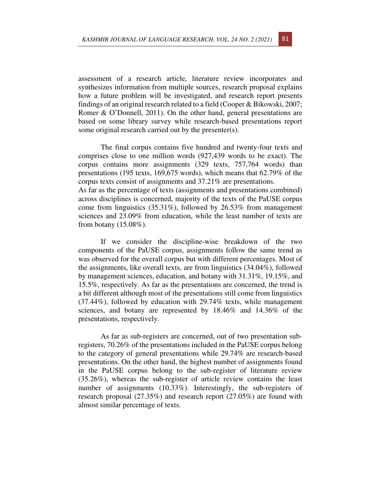assessment of a research article, literature review incorporates and synthesizes information from multiple sources, research proposal explains how a future problem will be investigated, and research report presents findings of an original research related to a field (Cooper & Bikowski, 2007; Romer & O'Donnell, 2011). On the other hand, general presentations are based on some library survey while research-based presentations report some original research carried out by the presenter(s).

The final corpus contains five hundred and twenty-four texts and comprises close to one million words (927,439 words to be exact). The corpus contains more assignments (329 texts, 757,764 words) than presentations (195 texts, 169,675 words), which means that 62.79% of the corpus texts consist of assignments and 37.21% are presentations.

As far as the percentage of texts (assignments and presentations combined) across disciplines is concerned, majority of the texts of the PaUSE corpus come from linguistics (35.31%), followed by 26.53% from management sciences and 23.09% from education, while the least number of texts are from botany (15.08%).

If we consider the discipline-wise breakdown of the two components of the PaUSE corpus, assignments follow the same trend as was observed for the overall corpus but with different percentages. Most of the assignments, like overall texts, are from linguistics (34.04%), followed by management sciences, education, and botany with 31.31%, 19.15%, and 15.5%, respectively. As far as the presentations are concerned, the trend is a bit different although most of the presentations still come from linguistics (37.44%), followed by education with 29.74% texts, while management sciences, and botany are represented by 18.46% and 14.36% of the presentations, respectively.

As far as sub-registers are concerned, out of two presentation subregisters, 70.26% of the presentations included in the PaUSE corpus belong to the category of general presentations while 29.74% are research-based presentations. On the other hand, the highest number of assignments found in the PaUSE corpus belong to the sub-register of literature review (35.26%), whereas the sub-register of article review contains the least number of assignments (10.33%). Interestingly, the sub-registers of research proposal (27.35%) and research report (27.05%) are found with almost similar percentage of texts.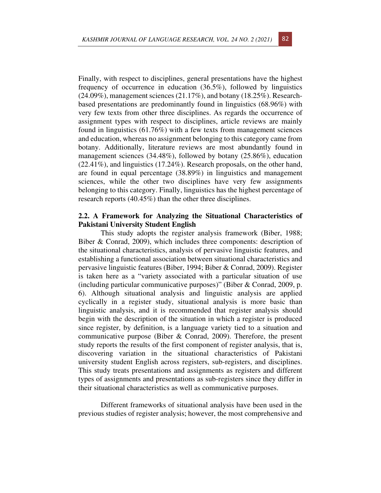Finally, with respect to disciplines, general presentations have the highest frequency of occurrence in education (36.5%), followed by linguistics (24.09%), management sciences (21.17%), and botany (18.25%). Researchbased presentations are predominantly found in linguistics (68.96%) with very few texts from other three disciplines. As regards the occurrence of assignment types with respect to disciplines, article reviews are mainly found in linguistics (61.76%) with a few texts from management sciences and education, whereas no assignment belonging to this category came from botany. Additionally, literature reviews are most abundantly found in management sciences (34.48%), followed by botany (25.86%), education (22.41%), and linguistics (17.24%). Research proposals, on the other hand, are found in equal percentage (38.89%) in linguistics and management sciences, while the other two disciplines have very few assignments belonging to this category. Finally, linguistics has the highest percentage of research reports (40.45%) than the other three disciplines.

## **2.2. A Framework for Analyzing the Situational Characteristics of Pakistani University Student English**

This study adopts the register analysis framework (Biber, 1988; Biber & Conrad, 2009), which includes three components: description of the situational characteristics, analysis of pervasive linguistic features, and establishing a functional association between situational characteristics and pervasive linguistic features (Biber, 1994; Biber & Conrad, 2009). Register is taken here as a "variety associated with a particular situation of use (including particular communicative purposes)" (Biber & Conrad, 2009, p. 6). Although situational analysis and linguistic analysis are applied cyclically in a register study, situational analysis is more basic than linguistic analysis, and it is recommended that register analysis should begin with the description of the situation in which a register is produced since register, by definition, is a language variety tied to a situation and communicative purpose (Biber & Conrad, 2009). Therefore, the present study reports the results of the first component of register analysis, that is, discovering variation in the situational characteristics of Pakistani university student English across registers, sub-registers, and disciplines. This study treats presentations and assignments as registers and different types of assignments and presentations as sub-registers since they differ in their situational characteristics as well as communicative purposes.

Different frameworks of situational analysis have been used in the previous studies of register analysis; however, the most comprehensive and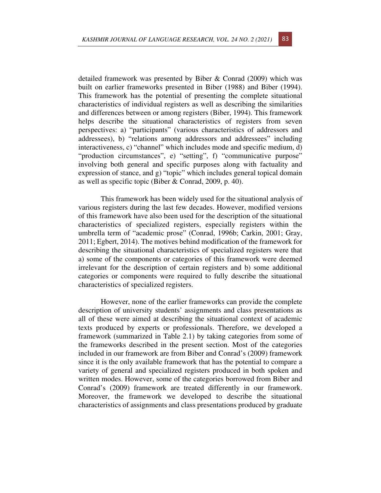detailed framework was presented by Biber & Conrad (2009) which was built on earlier frameworks presented in Biber (1988) and Biber (1994). This framework has the potential of presenting the complete situational characteristics of individual registers as well as describing the similarities and differences between or among registers (Biber, 1994). This framework helps describe the situational characteristics of registers from seven perspectives: a) "participants" (various characteristics of addressors and addressees), b) "relations among addressors and addressees" including interactiveness, c) "channel" which includes mode and specific medium, d) "production circumstances", e) "setting", f) "communicative purpose" involving both general and specific purposes along with factuality and expression of stance, and g) "topic" which includes general topical domain as well as specific topic (Biber & Conrad, 2009, p. 40).

This framework has been widely used for the situational analysis of various registers during the last few decades. However, modified versions of this framework have also been used for the description of the situational characteristics of specialized registers, especially registers within the umbrella term of "academic prose" (Conrad, 1996b; Carkin, 2001; Gray, 2011; Egbert, 2014). The motives behind modification of the framework for describing the situational characteristics of specialized registers were that a) some of the components or categories of this framework were deemed irrelevant for the description of certain registers and b) some additional categories or components were required to fully describe the situational characteristics of specialized registers.

However, none of the earlier frameworks can provide the complete description of university students' assignments and class presentations as all of these were aimed at describing the situational context of academic texts produced by experts or professionals. Therefore, we developed a framework (summarized in Table 2.1) by taking categories from some of the frameworks described in the present section. Most of the categories included in our framework are from Biber and Conrad's (2009) framework since it is the only available framework that has the potential to compare a variety of general and specialized registers produced in both spoken and written modes. However, some of the categories borrowed from Biber and Conrad's (2009) framework are treated differently in our framework. Moreover, the framework we developed to describe the situational characteristics of assignments and class presentations produced by graduate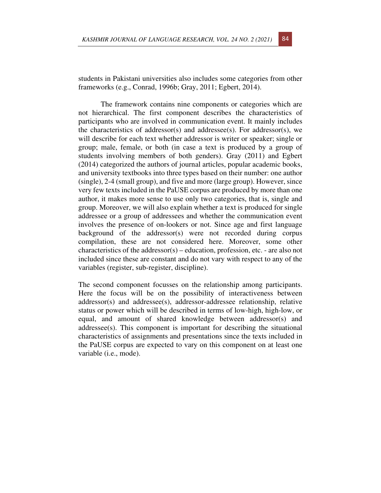students in Pakistani universities also includes some categories from other frameworks (e.g., Conrad, 1996b; Gray, 2011; Egbert, 2014).

The framework contains nine components or categories which are not hierarchical. The first component describes the characteristics of participants who are involved in communication event. It mainly includes the characteristics of addressor(s) and addressee(s). For addressor(s), we will describe for each text whether addressor is writer or speaker; single or group; male, female, or both (in case a text is produced by a group of students involving members of both genders). Gray (2011) and Egbert (2014) categorized the authors of journal articles, popular academic books, and university textbooks into three types based on their number: one author (single), 2-4 (small group), and five and more (large group). However, since very few texts included in the PaUSE corpus are produced by more than one author, it makes more sense to use only two categories, that is, single and group. Moreover, we will also explain whether a text is produced for single addressee or a group of addressees and whether the communication event involves the presence of on-lookers or not. Since age and first language background of the addressor(s) were not recorded during corpus compilation, these are not considered here. Moreover, some other characteristics of the addressor(s) – education, profession, etc. - are also not included since these are constant and do not vary with respect to any of the variables (register, sub-register, discipline).

The second component focusses on the relationship among participants. Here the focus will be on the possibility of interactiveness between addressor(s) and addressee(s), addressor-addressee relationship, relative status or power which will be described in terms of low-high, high-low, or equal, and amount of shared knowledge between addressor(s) and addressee(s). This component is important for describing the situational characteristics of assignments and presentations since the texts included in the PaUSE corpus are expected to vary on this component on at least one variable (i.e., mode).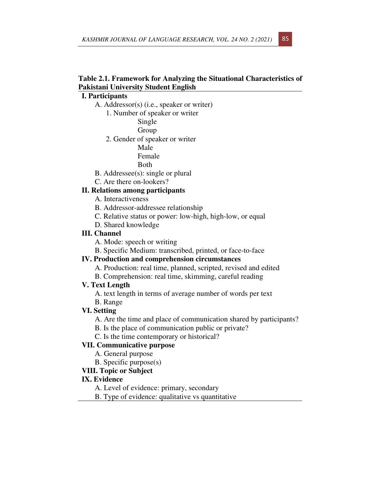## **Table 2.1. Framework for Analyzing the Situational Characteristics of Pakistani University Student English**

## **I. Participants**

- A. Addressor(s) (i.e., speaker or writer)
	- 1. Number of speaker or writer
		- Single
		- Group
	- 2. Gender of speaker or writer
		- Male
		- Female
		- Both
- B. Addressee(s): single or plural
- C. Are there on-lookers?

## **II. Relations among participants**

- A. Interactiveness
- B. Addressor-addressee relationship
- C. Relative status or power: low-high, high-low, or equal
- D. Shared knowledge

## **III. Channel**

- A. Mode: speech or writing
- B. Specific Medium: transcribed, printed, or face-to-face

## **IV. Production and comprehension circumstances**

- A. Production: real time, planned, scripted, revised and edited
- B. Comprehension: real time, skimming, careful reading

#### **V. Text Length**

 A. text length in terms of average number of words per text B. Range

#### **VI. Setting**

- A. Are the time and place of communication shared by participants?
- B. Is the place of communication public or private?
- C. Is the time contemporary or historical?

## **VII. Communicative purpose**

- A. General purpose
- B. Specific purpose(s)

## **VIII. Topic or Subject**

#### **IX. Evidence**

- A. Level of evidence: primary, secondary
- B. Type of evidence: qualitative vs quantitative

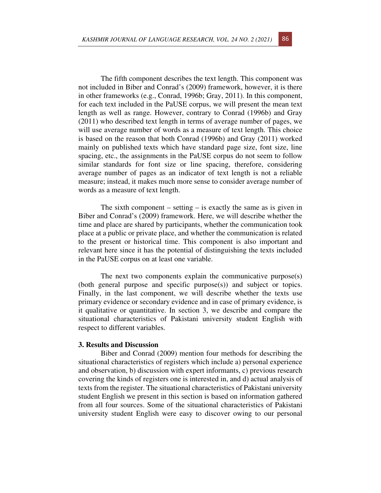The fifth component describes the text length. This component was not included in Biber and Conrad's (2009) framework, however, it is there in other frameworks (e.g., Conrad, 1996b; Gray, 2011). In this component, for each text included in the PaUSE corpus, we will present the mean text length as well as range. However, contrary to Conrad (1996b) and Gray (2011) who described text length in terms of average number of pages, we will use average number of words as a measure of text length. This choice is based on the reason that both Conrad (1996b) and Gray (2011) worked mainly on published texts which have standard page size, font size, line spacing, etc., the assignments in the PaUSE corpus do not seem to follow similar standards for font size or line spacing, therefore, considering average number of pages as an indicator of text length is not a reliable measure; instead, it makes much more sense to consider average number of words as a measure of text length.

The sixth component – setting – is exactly the same as is given in Biber and Conrad's (2009) framework. Here, we will describe whether the time and place are shared by participants, whether the communication took place at a public or private place, and whether the communication is related to the present or historical time. This component is also important and relevant here since it has the potential of distinguishing the texts included in the PaUSE corpus on at least one variable.

The next two components explain the communicative purpose(s) (both general purpose and specific purpose(s)) and subject or topics. Finally, in the last component, we will describe whether the texts use primary evidence or secondary evidence and in case of primary evidence, is it qualitative or quantitative. In section 3, we describe and compare the situational characteristics of Pakistani university student English with respect to different variables.

#### **3. Results and Discussion**

Biber and Conrad (2009) mention four methods for describing the situational characteristics of registers which include a) personal experience and observation, b) discussion with expert informants, c) previous research covering the kinds of registers one is interested in, and d) actual analysis of texts from the register. The situational characteristics of Pakistani university student English we present in this section is based on information gathered from all four sources. Some of the situational characteristics of Pakistani university student English were easy to discover owing to our personal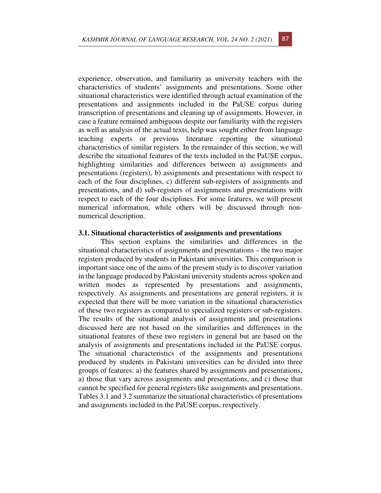experience, observation, and familiarity as university teachers with the characteristics of students' assignments and presentations. Some other situational characteristics were identified through actual examination of the presentations and assignments included in the PaUSE corpus during transcription of presentations and cleaning up of assignments. However, in case a feature remained ambiguous despite our familiarity with the registers as well as analysis of the actual texts, help was sought either from language teaching experts or previous literature reporting the situational characteristics of similar registers. In the remainder of this section, we will describe the situational features of the texts included in the PaUSE corpus, highlighting similarities and differences between a) assignments and presentations (registers), b) assignments and presentations with respect to each of the four disciplines, c) different sub-registers of assignments and presentations, and d) sub-registers of assignments and presentations with respect to each of the four disciplines. For some features, we will present numerical information, while others will be discussed through nonnumerical description.

#### **3.1. Situational characteristics of assignments and presentations**

This section explains the similarities and differences in the situational characteristics of assignments and presentations – the two major registers produced by students in Pakistani universities. This comparison is important since one of the aims of the present study is to discover variation in the language produced by Pakistani university students across spoken and written modes as represented by presentations and assignments, respectively. As assignments and presentations are general registers, it is expected that there will be more variation in the situational characteristics of these two registers as compared to specialized registers or sub-registers. The results of the situational analysis of assignments and presentations discussed here are not based on the similarities and differences in the situational features of these two registers in general but are based on the analysis of assignments and presentations included in the PaUSE corpus. The situational characteristics of the assignments and presentations produced by students in Pakistani universities can be divided into three groups of features: a) the features shared by assignments and presentations, a) those that vary across assignments and presentations, and c) those that cannot be specified for general registers like assignments and presentations. Tables 3.1 and 3.2 summarize the situational characteristics of presentations and assignments included in the PaUSE corpus, respectively.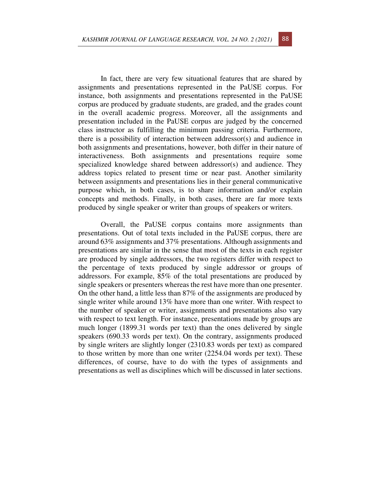In fact, there are very few situational features that are shared by assignments and presentations represented in the PaUSE corpus. For instance, both assignments and presentations represented in the PaUSE corpus are produced by graduate students, are graded, and the grades count in the overall academic progress. Moreover, all the assignments and presentation included in the PaUSE corpus are judged by the concerned class instructor as fulfilling the minimum passing criteria. Furthermore, there is a possibility of interaction between addressor(s) and audience in both assignments and presentations, however, both differ in their nature of interactiveness. Both assignments and presentations require some specialized knowledge shared between addressor(s) and audience. They address topics related to present time or near past. Another similarity between assignments and presentations lies in their general communicative purpose which, in both cases, is to share information and/or explain concepts and methods. Finally, in both cases, there are far more texts produced by single speaker or writer than groups of speakers or writers.

Overall, the PaUSE corpus contains more assignments than presentations. Out of total texts included in the PaUSE corpus, there are around 63% assignments and 37% presentations. Although assignments and presentations are similar in the sense that most of the texts in each register are produced by single addressors, the two registers differ with respect to the percentage of texts produced by single addressor or groups of addressors. For example, 85% of the total presentations are produced by single speakers or presenters whereas the rest have more than one presenter. On the other hand, a little less than 87% of the assignments are produced by single writer while around 13% have more than one writer. With respect to the number of speaker or writer, assignments and presentations also vary with respect to text length. For instance, presentations made by groups are much longer (1899.31 words per text) than the ones delivered by single speakers (690.33 words per text). On the contrary, assignments produced by single writers are slightly longer (2310.83 words per text) as compared to those written by more than one writer (2254.04 words per text). These differences, of course, have to do with the types of assignments and presentations as well as disciplines which will be discussed in later sections.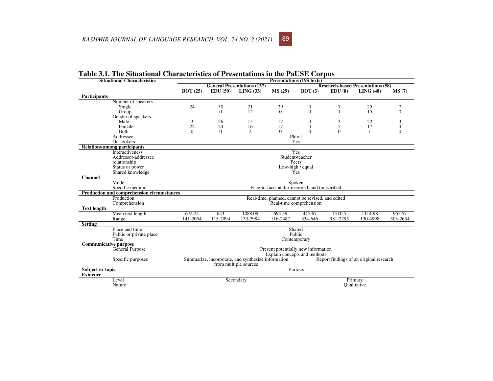|                              | <b>Situational Characteristics</b>                              | Presentations (195 texts)                                                                     |           |                                    |          |                                          |          |             |          |  |  |  |
|------------------------------|-----------------------------------------------------------------|-----------------------------------------------------------------------------------------------|-----------|------------------------------------|----------|------------------------------------------|----------|-------------|----------|--|--|--|
|                              |                                                                 |                                                                                               |           | <b>General Presentations (137)</b> |          | <b>Research-based Presentations (58)</b> |          |             |          |  |  |  |
|                              |                                                                 | BOT(25)                                                                                       | EDU(50)   | LING (33)                          | MS(29)   | BOT(3)                                   | EDU(8)   | LING(40)    | MS(7)    |  |  |  |
| <b>Participants</b>          |                                                                 |                                                                                               |           |                                    |          |                                          |          |             |          |  |  |  |
|                              | Number of speakers                                              |                                                                                               |           |                                    |          |                                          |          |             |          |  |  |  |
|                              | Single                                                          | 24                                                                                            | 50        | 21                                 | 29       | 3                                        | 7        | 25          | 7        |  |  |  |
|                              | Group                                                           |                                                                                               | $\Omega$  | 12                                 | $\Omega$ | $\theta$                                 | 1        | 15          | $\Omega$ |  |  |  |
|                              | Gender of speakers                                              |                                                                                               |           |                                    |          |                                          |          |             |          |  |  |  |
|                              | Male                                                            | 3                                                                                             | 26        | 15                                 | 12       | $\mathbf{0}$                             | 3        | 22          | 3        |  |  |  |
|                              | Female                                                          | 22                                                                                            | 24        | 16                                 | 17       | 3                                        | 5        | 17          | 4        |  |  |  |
|                              | Both                                                            | $\Omega$                                                                                      | $\Omega$  | $\overline{c}$                     | $\Omega$ | $\theta$                                 | $\Omega$ |             | $\Omega$ |  |  |  |
|                              | Addressee                                                       |                                                                                               |           |                                    |          | Plural                                   |          |             |          |  |  |  |
|                              | On-lookers                                                      | Yes                                                                                           |           |                                    |          |                                          |          |             |          |  |  |  |
|                              | <b>Relations among participants</b>                             |                                                                                               |           |                                    |          |                                          |          |             |          |  |  |  |
|                              | Interactiveness<br>Yes                                          |                                                                                               |           |                                    |          |                                          |          |             |          |  |  |  |
|                              | Addressor-addressee                                             | Student-teacher                                                                               |           |                                    |          |                                          |          |             |          |  |  |  |
|                              | relationship                                                    | Peers                                                                                         |           |                                    |          |                                          |          |             |          |  |  |  |
|                              | Status or power                                                 | Low-high / equal                                                                              |           |                                    |          |                                          |          |             |          |  |  |  |
|                              | Shared knowledge                                                | Yes                                                                                           |           |                                    |          |                                          |          |             |          |  |  |  |
| <b>Channel</b>               |                                                                 |                                                                                               |           |                                    |          |                                          |          |             |          |  |  |  |
|                              | Mode<br>Spoken                                                  |                                                                                               |           |                                    |          |                                          |          |             |          |  |  |  |
|                              | Specific medium                                                 | Face-to-face, audio-recorded, and transcribed                                                 |           |                                    |          |                                          |          |             |          |  |  |  |
|                              | Production and comprehension circumstances                      |                                                                                               |           |                                    |          |                                          |          |             |          |  |  |  |
|                              | Production<br>Real-time, planned, cannot be revised, and edited |                                                                                               |           |                                    |          |                                          |          |             |          |  |  |  |
|                              | Comprehension                                                   | Real-time comprehension                                                                       |           |                                    |          |                                          |          |             |          |  |  |  |
| <b>Text length</b>           |                                                                 |                                                                                               |           |                                    |          |                                          |          |             |          |  |  |  |
|                              | Mean text length                                                | 674.24                                                                                        | 643       | 1088.09                            | 694.59   | 415.67                                   | 1510.5   | 1114.98     | 955.57   |  |  |  |
|                              | Range                                                           | 141-2054                                                                                      | 115-2094  | 133-2984                           | 116-2487 | 334-646                                  | 981-2295 | 130-4998    | 303-2634 |  |  |  |
| <b>Setting</b>               |                                                                 |                                                                                               |           |                                    |          |                                          |          |             |          |  |  |  |
|                              | Place and time<br>Shared                                        |                                                                                               |           |                                    |          |                                          |          |             |          |  |  |  |
|                              | Public or private place                                         | Public                                                                                        |           |                                    |          |                                          |          |             |          |  |  |  |
|                              | Time                                                            | Contemporary                                                                                  |           |                                    |          |                                          |          |             |          |  |  |  |
| <b>Communicative purpose</b> |                                                                 |                                                                                               |           |                                    |          |                                          |          |             |          |  |  |  |
|                              | Present potentially new information<br>General Purpose          |                                                                                               |           |                                    |          |                                          |          |             |          |  |  |  |
|                              |                                                                 | Explain concepts and methods                                                                  |           |                                    |          |                                          |          |             |          |  |  |  |
|                              | Specific purposes                                               | Summarize, incorporate, and synthesize information<br>Report findings of an original research |           |                                    |          |                                          |          |             |          |  |  |  |
|                              |                                                                 | from multiple sources                                                                         |           |                                    |          |                                          |          |             |          |  |  |  |
| Subject or topic             |                                                                 |                                                                                               |           |                                    |          | Various                                  |          |             |          |  |  |  |
| <b>Evidence</b>              |                                                                 |                                                                                               |           |                                    |          |                                          |          |             |          |  |  |  |
|                              | Level                                                           |                                                                                               | Secondary |                                    |          |                                          |          | Primary     |          |  |  |  |
|                              | Nature                                                          |                                                                                               |           |                                    |          |                                          |          | Oualitative |          |  |  |  |
|                              |                                                                 |                                                                                               |           |                                    |          |                                          |          |             |          |  |  |  |

<sup>89</sup>

## **Table 3.1. The Situational Characteristics of Presentations in the PaUSE Corpus**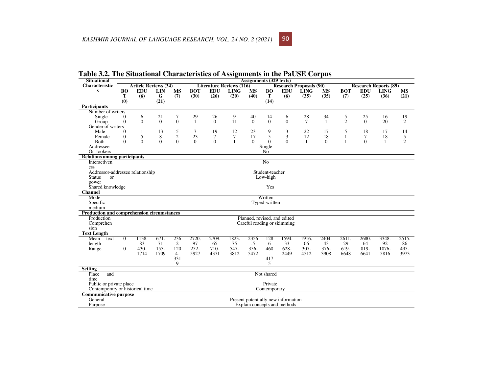| <b>Situational</b>                              |                                                     | <b>Assignments (329 texts)</b> |              |                |                                                                   |                |              |                              |                             |                                     |                              |           |                |                |             |                |
|-------------------------------------------------|-----------------------------------------------------|--------------------------------|--------------|----------------|-------------------------------------------------------------------|----------------|--------------|------------------------------|-----------------------------|-------------------------------------|------------------------------|-----------|----------------|----------------|-------------|----------------|
| <b>Characteristic</b>                           |                                                     | <b>Article Reviews (34)</b>    |              |                | <b>Literature Reviews (116)</b><br><b>Research Proposals (90)</b> |                |              |                              |                             |                                     | <b>Research Reports (89)</b> |           |                |                |             |                |
| $\bf{s}$                                        | <b>BO</b>                                           | <b>EDU</b>                     | LIN          | <b>MS</b>      | <b>BOT</b>                                                        | <b>EDU</b>     | <b>LING</b>  | <b>MS</b>                    | $\overline{B}$ <sup>O</sup> | <b>EDU</b>                          | <b>LING</b>                  | <b>MS</b> | <b>BOT</b>     | <b>EDU</b>     | <b>LING</b> | <b>MS</b>      |
|                                                 | Т                                                   | (6)                            | G            | (7)            | (30)                                                              | (26)           | (20)         | (40)                         | T                           | (6)                                 | (35)                         | (35)      | (7)            | (25)           | (36)        | (21)           |
|                                                 | (0)                                                 |                                | (21)         |                |                                                                   |                |              |                              | (14)                        |                                     |                              |           |                |                |             |                |
| <b>Participants</b>                             |                                                     |                                |              |                |                                                                   |                |              |                              |                             |                                     |                              |           |                |                |             |                |
| Number of writers                               |                                                     |                                |              |                |                                                                   |                |              |                              |                             |                                     |                              |           |                |                |             |                |
| Single                                          | $\theta$                                            | 6                              | 21           | 7              | 29                                                                | 26             | 9            | 40                           | 14                          | 6                                   | 28                           | 34        | 5              | 25             | 16          | 19             |
| Group                                           | $\theta$                                            | $\overline{0}$                 | $\theta$     | $\overline{0}$ | 1                                                                 | $\theta$       | 11           | $\theta$                     | $\mathbf{0}$                | $\mathbf{0}$                        | $\tau$                       | 1         | $\overline{2}$ | $\Omega$       | 20          | 2              |
| Gender of writers                               |                                                     |                                |              |                |                                                                   |                |              |                              |                             |                                     |                              |           |                |                |             |                |
| Male                                            | $\Omega$                                            |                                | 13           | 5              | 7                                                                 | 19             | 12           | 23                           | 9                           | 3                                   | 22                           | 17        | 5              | 18             | 17          | 14             |
| Female                                          | $\overline{0}$                                      | 5                              | 8            | $\sqrt{2}$     | 23                                                                | $\tau$         | $\tau$       | 17                           | 5                           | 3                                   | 12                           | 18        | 1              | $\tau$         | 18          | 5              |
| <b>Both</b>                                     | $\Omega$                                            | $\Omega$                       | $\mathbf{0}$ | $\Omega$       | $\Omega$                                                          | $\overline{0}$ | $\mathbf{1}$ | $\Omega$                     | $\Omega$                    | $\Omega$                            | $\mathbf{1}$                 | $\Omega$  | 1              | $\overline{0}$ | 1           | $\overline{c}$ |
| Addressee                                       |                                                     |                                |              | Single         |                                                                   |                |              |                              |                             |                                     |                              |           |                |                |             |                |
| On-lookers                                      |                                                     | N <sub>0</sub>                 |              |                |                                                                   |                |              |                              |                             |                                     |                              |           |                |                |             |                |
| <b>Relations among participants</b>             |                                                     |                                |              |                |                                                                   |                |              |                              |                             |                                     |                              |           |                |                |             |                |
| $\overline{N_0}$<br>Interactiven                |                                                     |                                |              |                |                                                                   |                |              |                              |                             |                                     |                              |           |                |                |             |                |
| ess                                             |                                                     |                                |              |                |                                                                   |                |              |                              |                             |                                     |                              |           |                |                |             |                |
|                                                 | Addressor-addressee relationship<br>Student-teacher |                                |              |                |                                                                   |                |              |                              |                             |                                     |                              |           |                |                |             |                |
| <b>Status</b><br>$\alpha$                       |                                                     |                                |              |                |                                                                   |                |              |                              |                             |                                     |                              |           |                |                |             |                |
| power                                           | Low-high                                            |                                |              |                |                                                                   |                |              |                              |                             |                                     |                              |           |                |                |             |                |
| Shared knowledge                                | Yes                                                 |                                |              |                |                                                                   |                |              |                              |                             |                                     |                              |           |                |                |             |                |
| <b>Channel</b>                                  |                                                     |                                |              |                |                                                                   |                |              |                              |                             |                                     |                              |           |                |                |             |                |
| Mode                                            |                                                     |                                |              |                |                                                                   |                |              |                              |                             |                                     |                              |           |                |                |             |                |
|                                                 | Written<br>Typed-written                            |                                |              |                |                                                                   |                |              |                              |                             |                                     |                              |           |                |                |             |                |
| Specific<br>medium                              |                                                     |                                |              |                |                                                                   |                |              |                              |                             |                                     |                              |           |                |                |             |                |
|                                                 |                                                     |                                |              |                |                                                                   |                |              |                              |                             |                                     |                              |           |                |                |             |                |
| Production and comprehension circumstances      |                                                     |                                |              |                |                                                                   |                |              |                              |                             |                                     |                              |           |                |                |             |                |
| Production                                      |                                                     |                                |              |                |                                                                   |                |              | Planned, revised, and edited |                             |                                     |                              |           |                |                |             |                |
| Comprehen                                       |                                                     | Careful reading or skimming    |              |                |                                                                   |                |              |                              |                             |                                     |                              |           |                |                |             |                |
| sion                                            |                                                     |                                |              |                |                                                                   |                |              |                              |                             |                                     |                              |           |                |                |             |                |
| <b>Text Length</b>                              |                                                     |                                |              |                |                                                                   |                |              |                              |                             |                                     |                              |           |                |                |             |                |
| Mean<br>text                                    | $\overline{0}$                                      | 1138.                          | 671.         | 236            | 2720.                                                             | 2709.          | 1823.        | 2356                         | 128                         | 1594.                               | 1916.                        | 2404.     | 2611.          | 2680.          | 3348.       | 2515.          |
| length                                          |                                                     | 83                             | 71           | 2              | 97                                                                | 65             | 75           | .5                           | 6                           | 33                                  | 06                           | 43        | 29             | 64             | 92          | 86             |
| Range                                           | $\mathbf{0}$                                        | $430 -$                        | $155 -$      | 120            | $252 -$                                                           | $710-$         | 547-         | $356 -$                      | 460                         | 628-                                | $307 -$                      | $376 -$   | 619-           | 819-           | 1076-       | 495-           |
|                                                 |                                                     | 1714                           | 1709         | $4-$           | 5927                                                              | 4371           | 3812         | 5472                         | $\sim$                      | 2449                                | 4512                         | 3908      | 6648           | 6641           | 5816        | 3973           |
|                                                 |                                                     |                                |              | 331            |                                                                   |                |              |                              | 417                         |                                     |                              |           |                |                |             |                |
|                                                 |                                                     |                                |              | 9              |                                                                   |                |              |                              | 5                           |                                     |                              |           |                |                |             |                |
| <b>Setting</b>                                  |                                                     |                                |              |                |                                                                   |                |              |                              |                             |                                     |                              |           |                |                |             |                |
| Place<br>and                                    |                                                     | Not shared                     |              |                |                                                                   |                |              |                              |                             |                                     |                              |           |                |                |             |                |
| time                                            |                                                     |                                |              |                |                                                                   |                |              |                              |                             |                                     |                              |           |                |                |             |                |
| Public or private place                         | Private                                             |                                |              |                |                                                                   |                |              |                              |                             |                                     |                              |           |                |                |             |                |
| Contemporary or historical time<br>Contemporary |                                                     |                                |              |                |                                                                   |                |              |                              |                             |                                     |                              |           |                |                |             |                |
| <b>Communicative purpose</b>                    |                                                     |                                |              |                |                                                                   |                |              |                              |                             |                                     |                              |           |                |                |             |                |
| General                                         |                                                     |                                |              |                |                                                                   |                |              |                              |                             | Present potentially new information |                              |           |                |                |             |                |
| Purpose                                         | Explain concepts and methods                        |                                |              |                |                                                                   |                |              |                              |                             |                                     |                              |           |                |                |             |                |

**Table 3.2. The Situational Characteristics of Assignments in the PaUSE Corpus**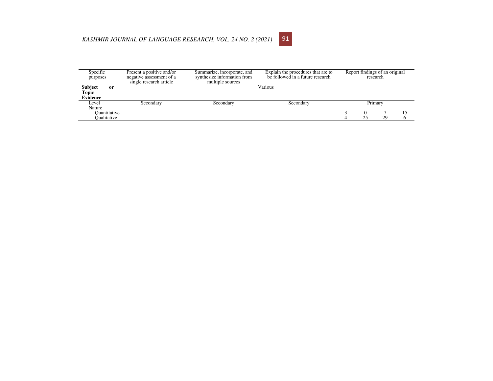#### *KASHMIR JOURNAL OF LANGUAGE RESEARCH, VOL. 24 NO. 2 (2021)*<sup>91</sup>

| Specific<br>purposes                     | Present a positive and/or<br>negative assessment of a<br>single research article | Summarize, incorporate, and<br>synthesize information from<br>multiple sources | Explain the procedures that are to<br>be followed in a future research | Report findings of an original<br>research |         |    |  |  |  |
|------------------------------------------|----------------------------------------------------------------------------------|--------------------------------------------------------------------------------|------------------------------------------------------------------------|--------------------------------------------|---------|----|--|--|--|
| <b>Subject</b><br><sub>or</sub><br>Topic |                                                                                  |                                                                                | Various                                                                |                                            |         |    |  |  |  |
| <b>Evidence</b>                          |                                                                                  |                                                                                |                                                                        |                                            |         |    |  |  |  |
| Level                                    | Secondary                                                                        | Secondary<br>Secondary                                                         |                                                                        |                                            | Primary |    |  |  |  |
| Nature                                   |                                                                                  |                                                                                |                                                                        |                                            |         |    |  |  |  |
| Ouantitative<br>Oualitative              |                                                                                  |                                                                                |                                                                        |                                            | 25      | 29 |  |  |  |
|                                          |                                                                                  |                                                                                |                                                                        |                                            |         |    |  |  |  |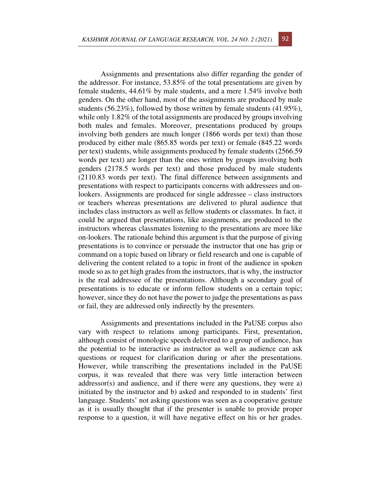Assignments and presentations also differ regarding the gender of the addressor. For instance, 53.85% of the total presentations are given by female students, 44.61% by male students, and a mere 1.54% involve both genders. On the other hand, most of the assignments are produced by male students (56.23%), followed by those written by female students (41.95%), while only 1.82% of the total assignments are produced by groups involving both males and females. Moreover, presentations produced by groups involving both genders are much longer (1866 words per text) than those produced by either male (865.85 words per text) or female (845.22 words per text) students, while assignments produced by female students (2566.59 words per text) are longer than the ones written by groups involving both genders (2178.5 words per text) and those produced by male students (2110.83 words per text). The final difference between assignments and presentations with respect to participants concerns with addressees and onlookers. Assignments are produced for single addressee – class instructors or teachers whereas presentations are delivered to plural audience that includes class instructors as well as fellow students or classmates. In fact, it could be argued that presentations, like assignments, are produced to the instructors whereas classmates listening to the presentations are more like on-lookers. The rationale behind this argument is that the purpose of giving presentations is to convince or persuade the instructor that one has grip or command on a topic based on library or field research and one is capable of delivering the content related to a topic in front of the audience in spoken mode so as to get high grades from the instructors, that is why, the instructor is the real addressee of the presentations. Although a secondary goal of presentations is to educate or inform fellow students on a certain topic; however, since they do not have the power to judge the presentations as pass or fail, they are addressed only indirectly by the presenters.

Assignments and presentations included in the PaUSE corpus also vary with respect to relations among participants. First, presentation, although consist of monologic speech delivered to a group of audience, has the potential to be interactive as instructor as well as audience can ask questions or request for clarification during or after the presentations. However, while transcribing the presentations included in the PaUSE corpus, it was revealed that there was very little interaction between addressor(s) and audience, and if there were any questions, they were a) initiated by the instructor and b) asked and responded to in students' first language. Students' not asking questions was seen as a cooperative gesture as it is usually thought that if the presenter is unable to provide proper response to a question, it will have negative effect on his or her grades.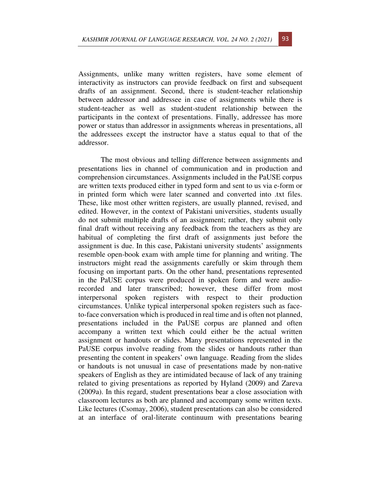Assignments, unlike many written registers, have some element of interactivity as instructors can provide feedback on first and subsequent drafts of an assignment. Second, there is student-teacher relationship between addressor and addressee in case of assignments while there is student-teacher as well as student-student relationship between the participants in the context of presentations. Finally, addressee has more power or status than addressor in assignments whereas in presentations, all the addressees except the instructor have a status equal to that of the addressor.

The most obvious and telling difference between assignments and presentations lies in channel of communication and in production and comprehension circumstances. Assignments included in the PaUSE corpus are written texts produced either in typed form and sent to us via e-form or in printed form which were later scanned and converted into .txt files. These, like most other written registers, are usually planned, revised, and edited. However, in the context of Pakistani universities, students usually do not submit multiple drafts of an assignment; rather, they submit only final draft without receiving any feedback from the teachers as they are habitual of completing the first draft of assignments just before the assignment is due. In this case, Pakistani university students' assignments resemble open-book exam with ample time for planning and writing. The instructors might read the assignments carefully or skim through them focusing on important parts. On the other hand, presentations represented in the PaUSE corpus were produced in spoken form and were audiorecorded and later transcribed; however, these differ from most interpersonal spoken registers with respect to their production circumstances. Unlike typical interpersonal spoken registers such as faceto-face conversation which is produced in real time and is often not planned, presentations included in the PaUSE corpus are planned and often accompany a written text which could either be the actual written assignment or handouts or slides. Many presentations represented in the PaUSE corpus involve reading from the slides or handouts rather than presenting the content in speakers' own language. Reading from the slides or handouts is not unusual in case of presentations made by non-native speakers of English as they are intimidated because of lack of any training related to giving presentations as reported by Hyland (2009) and Zareva (2009a). In this regard, student presentations bear a close association with classroom lectures as both are planned and accompany some written texts. Like lectures (Csomay, 2006), student presentations can also be considered at an interface of oral-literate continuum with presentations bearing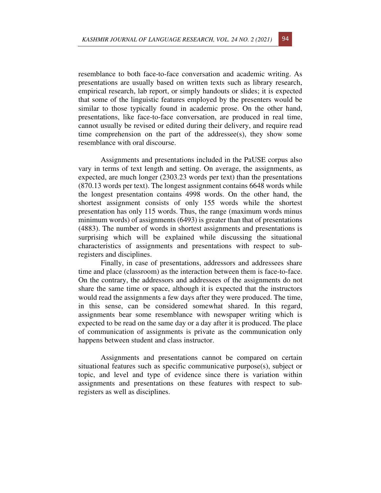resemblance to both face-to-face conversation and academic writing. As presentations are usually based on written texts such as library research, empirical research, lab report, or simply handouts or slides; it is expected that some of the linguistic features employed by the presenters would be similar to those typically found in academic prose. On the other hand, presentations, like face-to-face conversation, are produced in real time, cannot usually be revised or edited during their delivery, and require read time comprehension on the part of the addressee(s), they show some resemblance with oral discourse.

Assignments and presentations included in the PaUSE corpus also vary in terms of text length and setting. On average, the assignments, as expected, are much longer (2303.23 words per text) than the presentations (870.13 words per text). The longest assignment contains 6648 words while the longest presentation contains 4998 words. On the other hand, the shortest assignment consists of only 155 words while the shortest presentation has only 115 words. Thus, the range (maximum words minus minimum words) of assignments (6493) is greater than that of presentations (4883). The number of words in shortest assignments and presentations is surprising which will be explained while discussing the situational characteristics of assignments and presentations with respect to subregisters and disciplines.

 Finally, in case of presentations, addressors and addressees share time and place (classroom) as the interaction between them is face-to-face. On the contrary, the addressors and addressees of the assignments do not share the same time or space, although it is expected that the instructors would read the assignments a few days after they were produced. The time, in this sense, can be considered somewhat shared. In this regard, assignments bear some resemblance with newspaper writing which is expected to be read on the same day or a day after it is produced. The place of communication of assignments is private as the communication only happens between student and class instructor.

Assignments and presentations cannot be compared on certain situational features such as specific communicative purpose(s), subject or topic, and level and type of evidence since there is variation within assignments and presentations on these features with respect to subregisters as well as disciplines.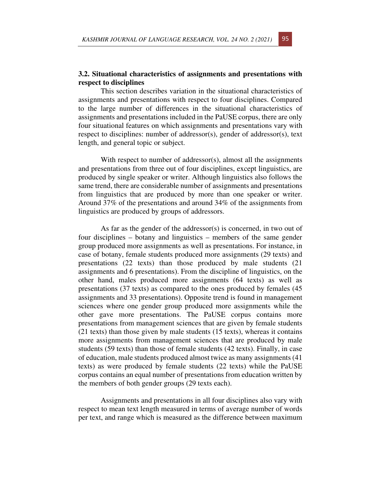### **3.2. Situational characteristics of assignments and presentations with respect to disciplines**

This section describes variation in the situational characteristics of assignments and presentations with respect to four disciplines. Compared to the large number of differences in the situational characteristics of assignments and presentations included in the PaUSE corpus, there are only four situational features on which assignments and presentations vary with respect to disciplines: number of addressor(s), gender of addressor(s), text length, and general topic or subject.

With respect to number of addressor(s), almost all the assignments and presentations from three out of four disciplines, except linguistics, are produced by single speaker or writer. Although linguistics also follows the same trend, there are considerable number of assignments and presentations from linguistics that are produced by more than one speaker or writer. Around 37% of the presentations and around 34% of the assignments from linguistics are produced by groups of addressors.

As far as the gender of the addressor(s) is concerned, in two out of four disciplines – botany and linguistics – members of the same gender group produced more assignments as well as presentations. For instance, in case of botany, female students produced more assignments (29 texts) and presentations (22 texts) than those produced by male students (21 assignments and 6 presentations). From the discipline of linguistics, on the other hand, males produced more assignments (64 texts) as well as presentations (37 texts) as compared to the ones produced by females (45 assignments and 33 presentations). Opposite trend is found in management sciences where one gender group produced more assignments while the other gave more presentations. The PaUSE corpus contains more presentations from management sciences that are given by female students (21 texts) than those given by male students (15 texts), whereas it contains more assignments from management sciences that are produced by male students (59 texts) than those of female students (42 texts). Finally, in case of education, male students produced almost twice as many assignments (41 texts) as were produced by female students (22 texts) while the PaUSE corpus contains an equal number of presentations from education written by the members of both gender groups (29 texts each).

Assignments and presentations in all four disciplines also vary with respect to mean text length measured in terms of average number of words per text, and range which is measured as the difference between maximum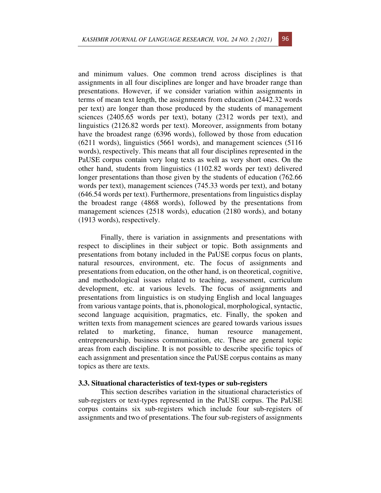and minimum values. One common trend across disciplines is that assignments in all four disciplines are longer and have broader range than presentations. However, if we consider variation within assignments in terms of mean text length, the assignments from education (2442.32 words per text) are longer than those produced by the students of management sciences (2405.65 words per text), botany (2312 words per text), and linguistics (2126.82 words per text). Moreover, assignments from botany have the broadest range (6396 words), followed by those from education (6211 words), linguistics (5661 words), and management sciences (5116 words), respectively. This means that all four disciplines represented in the PaUSE corpus contain very long texts as well as very short ones. On the other hand, students from linguistics (1102.82 words per text) delivered longer presentations than those given by the students of education (762.66 words per text), management sciences (745.33 words per text), and botany (646.54 words per text). Furthermore, presentations from linguistics display the broadest range (4868 words), followed by the presentations from management sciences (2518 words), education (2180 words), and botany (1913 words), respectively.

Finally, there is variation in assignments and presentations with respect to disciplines in their subject or topic. Both assignments and presentations from botany included in the PaUSE corpus focus on plants, natural resources, environment, etc. The focus of assignments and presentations from education, on the other hand, is on theoretical, cognitive, and methodological issues related to teaching, assessment, curriculum development, etc. at various levels. The focus of assignments and presentations from linguistics is on studying English and local languages from various vantage points, that is, phonological, morphological, syntactic, second language acquisition, pragmatics, etc. Finally, the spoken and written texts from management sciences are geared towards various issues related to marketing, finance, human resource management, entrepreneurship, business communication, etc. These are general topic areas from each discipline. It is not possible to describe specific topics of each assignment and presentation since the PaUSE corpus contains as many topics as there are texts.

#### **3.3. Situational characteristics of text-types or sub-registers**

This section describes variation in the situational characteristics of sub-registers or text-types represented in the PaUSE corpus. The PaUSE corpus contains six sub-registers which include four sub-registers of assignments and two of presentations. The four sub-registers of assignments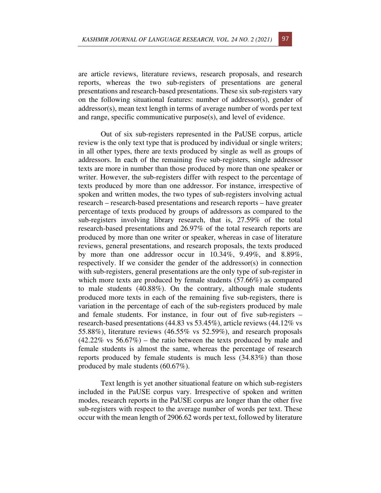are article reviews, literature reviews, research proposals, and research reports, whereas the two sub-registers of presentations are general presentations and research-based presentations. These six sub-registers vary on the following situational features: number of addressor(s), gender of addressor(s), mean text length in terms of average number of words per text and range, specific communicative purpose(s), and level of evidence.

Out of six sub-registers represented in the PaUSE corpus, article review is the only text type that is produced by individual or single writers; in all other types, there are texts produced by single as well as groups of addressors. In each of the remaining five sub-registers, single addressor texts are more in number than those produced by more than one speaker or writer. However, the sub-registers differ with respect to the percentage of texts produced by more than one addressor. For instance, irrespective of spoken and written modes, the two types of sub-registers involving actual research – research-based presentations and research reports – have greater percentage of texts produced by groups of addressors as compared to the sub-registers involving library research, that is, 27.59% of the total research-based presentations and 26.97% of the total research reports are produced by more than one writer or speaker, whereas in case of literature reviews, general presentations, and research proposals, the texts produced by more than one addressor occur in 10.34%, 9.49%, and 8.89%, respectively. If we consider the gender of the addressor(s) in connection with sub-registers, general presentations are the only type of sub-register in which more texts are produced by female students (57.66%) as compared to male students (40.88%). On the contrary, although male students produced more texts in each of the remaining five sub-registers, there is variation in the percentage of each of the sub-registers produced by male and female students. For instance, in four out of five sub-registers – research-based presentations (44.83 vs 53.45%), article reviews (44.12% vs 55.88%), literature reviews (46.55% vs 52.59%), and research proposals  $(42.22\% \text{ vs } 56.67\%)$  – the ratio between the texts produced by male and female students is almost the same, whereas the percentage of research reports produced by female students is much less (34.83%) than those produced by male students (60.67%).

Text length is yet another situational feature on which sub-registers included in the PaUSE corpus vary. Irrespective of spoken and written modes, research reports in the PaUSE corpus are longer than the other five sub-registers with respect to the average number of words per text. These occur with the mean length of 2906.62 words per text, followed by literature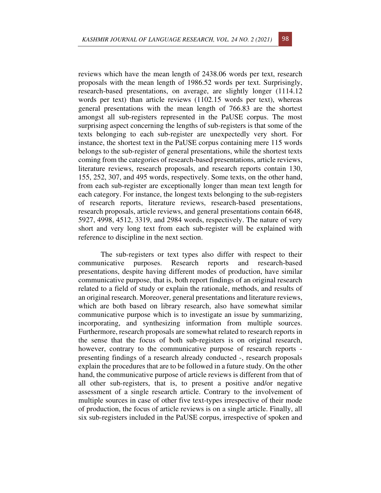reviews which have the mean length of 2438.06 words per text, research proposals with the mean length of 1986.52 words per text. Surprisingly, research-based presentations, on average, are slightly longer (1114.12 words per text) than article reviews (1102.15 words per text), whereas general presentations with the mean length of 766.83 are the shortest amongst all sub-registers represented in the PaUSE corpus. The most surprising aspect concerning the lengths of sub-registers is that some of the texts belonging to each sub-register are unexpectedly very short. For instance, the shortest text in the PaUSE corpus containing mere 115 words belongs to the sub-register of general presentations, while the shortest texts coming from the categories of research-based presentations, article reviews, literature reviews, research proposals, and research reports contain 130, 155, 252, 307, and 495 words, respectively. Some texts, on the other hand, from each sub-register are exceptionally longer than mean text length for each category. For instance, the longest texts belonging to the sub-registers of research reports, literature reviews, research-based presentations, research proposals, article reviews, and general presentations contain 6648, 5927, 4998, 4512, 3319, and 2984 words, respectively. The nature of very short and very long text from each sub-register will be explained with reference to discipline in the next section.

The sub-registers or text types also differ with respect to their communicative purposes. Research reports and research-based presentations, despite having different modes of production, have similar communicative purpose, that is, both report findings of an original research related to a field of study or explain the rationale, methods, and results of an original research. Moreover, general presentations and literature reviews, which are both based on library research, also have somewhat similar communicative purpose which is to investigate an issue by summarizing, incorporating, and synthesizing information from multiple sources. Furthermore, research proposals are somewhat related to research reports in the sense that the focus of both sub-registers is on original research, however, contrary to the communicative purpose of research reports presenting findings of a research already conducted -, research proposals explain the procedures that are to be followed in a future study. On the other hand, the communicative purpose of article reviews is different from that of all other sub-registers, that is, to present a positive and/or negative assessment of a single research article. Contrary to the involvement of multiple sources in case of other five text-types irrespective of their mode of production, the focus of article reviews is on a single article. Finally, all six sub-registers included in the PaUSE corpus, irrespective of spoken and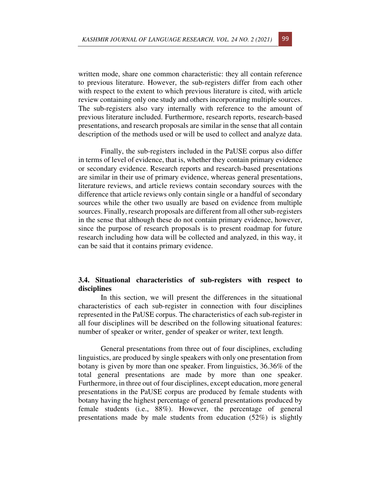written mode, share one common characteristic: they all contain reference to previous literature. However, the sub-registers differ from each other with respect to the extent to which previous literature is cited, with article review containing only one study and others incorporating multiple sources. The sub-registers also vary internally with reference to the amount of previous literature included. Furthermore, research reports, research-based presentations, and research proposals are similar in the sense that all contain description of the methods used or will be used to collect and analyze data.

Finally, the sub-registers included in the PaUSE corpus also differ in terms of level of evidence, that is, whether they contain primary evidence or secondary evidence. Research reports and research-based presentations are similar in their use of primary evidence, whereas general presentations, literature reviews, and article reviews contain secondary sources with the difference that article reviews only contain single or a handful of secondary sources while the other two usually are based on evidence from multiple sources. Finally, research proposals are different from all other sub-registers in the sense that although these do not contain primary evidence, however, since the purpose of research proposals is to present roadmap for future research including how data will be collected and analyzed, in this way, it can be said that it contains primary evidence.

## **3.4. Situational characteristics of sub-registers with respect to disciplines**

In this section, we will present the differences in the situational characteristics of each sub-register in connection with four disciplines represented in the PaUSE corpus. The characteristics of each sub-register in all four disciplines will be described on the following situational features: number of speaker or writer, gender of speaker or writer, text length.

General presentations from three out of four disciplines, excluding linguistics, are produced by single speakers with only one presentation from botany is given by more than one speaker. From linguistics, 36.36% of the total general presentations are made by more than one speaker. Furthermore, in three out of four disciplines, except education, more general presentations in the PaUSE corpus are produced by female students with botany having the highest percentage of general presentations produced by female students (i.e., 88%). However, the percentage of general presentations made by male students from education (52%) is slightly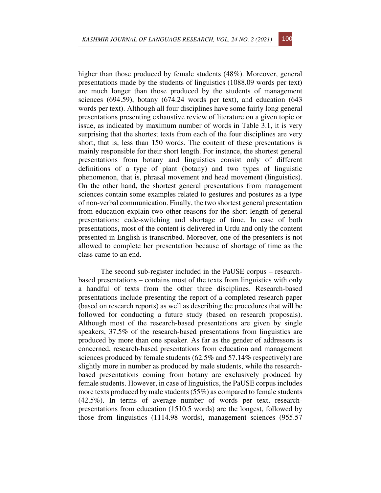higher than those produced by female students (48%). Moreover, general presentations made by the students of linguistics (1088.09 words per text) are much longer than those produced by the students of management sciences (694.59), botany (674.24 words per text), and education (643 words per text). Although all four disciplines have some fairly long general presentations presenting exhaustive review of literature on a given topic or issue, as indicated by maximum number of words in Table 3.1, it is very surprising that the shortest texts from each of the four disciplines are very short, that is, less than 150 words. The content of these presentations is mainly responsible for their short length. For instance, the shortest general presentations from botany and linguistics consist only of different definitions of a type of plant (botany) and two types of linguistic phenomenon, that is, phrasal movement and head movement (linguistics). On the other hand, the shortest general presentations from management sciences contain some examples related to gestures and postures as a type of non-verbal communication. Finally, the two shortest general presentation from education explain two other reasons for the short length of general presentations: code-switching and shortage of time. In case of both presentations, most of the content is delivered in Urdu and only the content presented in English is transcribed. Moreover, one of the presenters is not allowed to complete her presentation because of shortage of time as the class came to an end.

The second sub-register included in the PaUSE corpus – researchbased presentations – contains most of the texts from linguistics with only a handful of texts from the other three disciplines. Research-based presentations include presenting the report of a completed research paper (based on research reports) as well as describing the procedures that will be followed for conducting a future study (based on research proposals). Although most of the research-based presentations are given by single speakers, 37.5% of the research-based presentations from linguistics are produced by more than one speaker. As far as the gender of addressors is concerned, research-based presentations from education and management sciences produced by female students  $(62.5\% \text{ and } 57.14\% \text{ respectively})$  are slightly more in number as produced by male students, while the researchbased presentations coming from botany are exclusively produced by female students. However, in case of linguistics, the PaUSE corpus includes more texts produced by male students (55%) as compared to female students (42.5%). In terms of average number of words per text, researchpresentations from education (1510.5 words) are the longest, followed by those from linguistics (1114.98 words), management sciences (955.57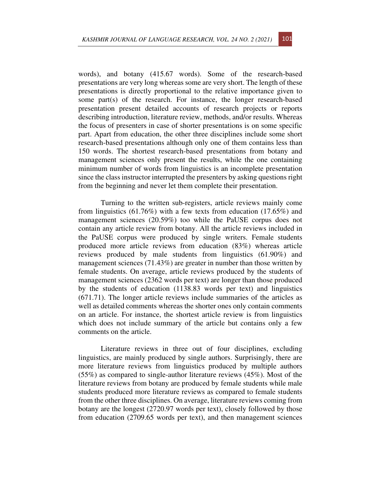words), and botany (415.67 words). Some of the research-based presentations are very long whereas some are very short. The length of these presentations is directly proportional to the relative importance given to some part(s) of the research. For instance, the longer research-based presentation present detailed accounts of research projects or reports describing introduction, literature review, methods, and/or results. Whereas the focus of presenters in case of shorter presentations is on some specific part. Apart from education, the other three disciplines include some short research-based presentations although only one of them contains less than 150 words. The shortest research-based presentations from botany and management sciences only present the results, while the one containing minimum number of words from linguistics is an incomplete presentation since the class instructor interrupted the presenters by asking questions right from the beginning and never let them complete their presentation.

Turning to the written sub-registers, article reviews mainly come from linguistics (61.76%) with a few texts from education (17.65%) and management sciences (20.59%) too while the PaUSE corpus does not contain any article review from botany. All the article reviews included in the PaUSE corpus were produced by single writers. Female students produced more article reviews from education (83%) whereas article reviews produced by male students from linguistics (61.90%) and management sciences (71.43%) are greater in number than those written by female students. On average, article reviews produced by the students of management sciences (2362 words per text) are longer than those produced by the students of education (1138.83 words per text) and linguistics (671.71). The longer article reviews include summaries of the articles as well as detailed comments whereas the shorter ones only contain comments on an article. For instance, the shortest article review is from linguistics which does not include summary of the article but contains only a few comments on the article.

Literature reviews in three out of four disciplines, excluding linguistics, are mainly produced by single authors. Surprisingly, there are more literature reviews from linguistics produced by multiple authors (55%) as compared to single-author literature reviews (45%). Most of the literature reviews from botany are produced by female students while male students produced more literature reviews as compared to female students from the other three disciplines. On average, literature reviews coming from botany are the longest (2720.97 words per text), closely followed by those from education (2709.65 words per text), and then management sciences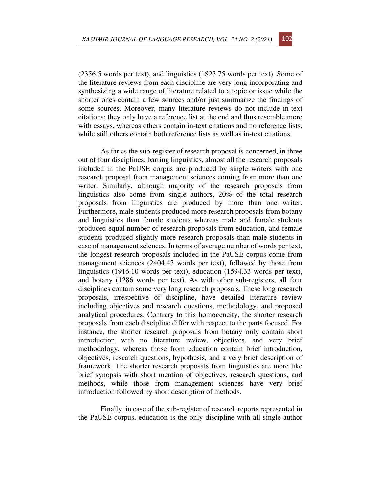(2356.5 words per text), and linguistics (1823.75 words per text). Some of the literature reviews from each discipline are very long incorporating and synthesizing a wide range of literature related to a topic or issue while the shorter ones contain a few sources and/or just summarize the findings of some sources. Moreover, many literature reviews do not include in-text citations; they only have a reference list at the end and thus resemble more with essays, whereas others contain in-text citations and no reference lists, while still others contain both reference lists as well as in-text citations.

As far as the sub-register of research proposal is concerned, in three out of four disciplines, barring linguistics, almost all the research proposals included in the PaUSE corpus are produced by single writers with one research proposal from management sciences coming from more than one writer. Similarly, although majority of the research proposals from linguistics also come from single authors, 20% of the total research proposals from linguistics are produced by more than one writer. Furthermore, male students produced more research proposals from botany and linguistics than female students whereas male and female students produced equal number of research proposals from education, and female students produced slightly more research proposals than male students in case of management sciences. In terms of average number of words per text, the longest research proposals included in the PaUSE corpus come from management sciences (2404.43 words per text), followed by those from linguistics (1916.10 words per text), education (1594.33 words per text), and botany (1286 words per text). As with other sub-registers, all four disciplines contain some very long research proposals. These long research proposals, irrespective of discipline, have detailed literature review including objectives and research questions, methodology, and proposed analytical procedures. Contrary to this homogeneity, the shorter research proposals from each discipline differ with respect to the parts focused. For instance, the shorter research proposals from botany only contain short introduction with no literature review, objectives, and very brief methodology, whereas those from education contain brief introduction, objectives, research questions, hypothesis, and a very brief description of framework. The shorter research proposals from linguistics are more like brief synopsis with short mention of objectives, research questions, and methods, while those from management sciences have very brief introduction followed by short description of methods.

Finally, in case of the sub-register of research reports represented in the PaUSE corpus, education is the only discipline with all single-author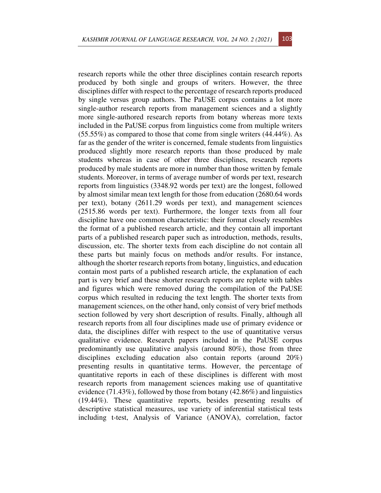research reports while the other three disciplines contain research reports produced by both single and groups of writers. However, the three disciplines differ with respect to the percentage of research reports produced by single versus group authors. The PaUSE corpus contains a lot more single-author research reports from management sciences and a slightly more single-authored research reports from botany whereas more texts included in the PaUSE corpus from linguistics come from multiple writers  $(55.55\%)$  as compared to those that come from single writers  $(44.44\%)$ . As far as the gender of the writer is concerned, female students from linguistics produced slightly more research reports than those produced by male students whereas in case of other three disciplines, research reports produced by male students are more in number than those written by female students. Moreover, in terms of average number of words per text, research reports from linguistics (3348.92 words per text) are the longest, followed by almost similar mean text length for those from education (2680.64 words per text), botany (2611.29 words per text), and management sciences (2515.86 words per text). Furthermore, the longer texts from all four discipline have one common characteristic: their format closely resembles the format of a published research article, and they contain all important parts of a published research paper such as introduction, methods, results, discussion, etc. The shorter texts from each discipline do not contain all these parts but mainly focus on methods and/or results. For instance, although the shorter research reports from botany, linguistics, and education contain most parts of a published research article, the explanation of each part is very brief and these shorter research reports are replete with tables and figures which were removed during the compilation of the PaUSE corpus which resulted in reducing the text length. The shorter texts from management sciences, on the other hand, only consist of very brief methods section followed by very short description of results. Finally, although all research reports from all four disciplines made use of primary evidence or data, the disciplines differ with respect to the use of quantitative versus qualitative evidence. Research papers included in the PaUSE corpus predominantly use qualitative analysis (around 80%), those from three disciplines excluding education also contain reports (around 20%) presenting results in quantitative terms. However, the percentage of quantitative reports in each of these disciplines is different with most research reports from management sciences making use of quantitative evidence (71.43%), followed by those from botany (42.86%) and linguistics (19.44%). These quantitative reports, besides presenting results of descriptive statistical measures, use variety of inferential statistical tests including t-test, Analysis of Variance (ANOVA), correlation, factor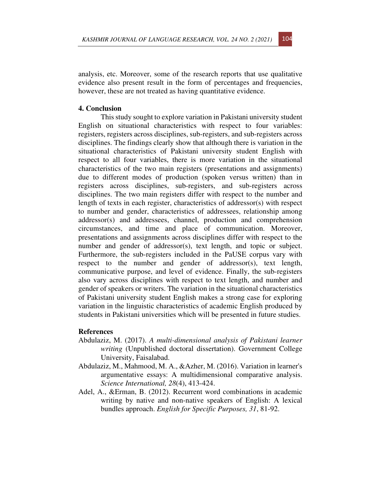analysis, etc. Moreover, some of the research reports that use qualitative evidence also present result in the form of percentages and frequencies, however, these are not treated as having quantitative evidence.

#### **4. Conclusion**

This study sought to explore variation in Pakistani university student English on situational characteristics with respect to four variables: registers, registers across disciplines, sub-registers, and sub-registers across disciplines. The findings clearly show that although there is variation in the situational characteristics of Pakistani university student English with respect to all four variables, there is more variation in the situational characteristics of the two main registers (presentations and assignments) due to different modes of production (spoken versus written) than in registers across disciplines, sub-registers, and sub-registers across disciplines. The two main registers differ with respect to the number and length of texts in each register, characteristics of addressor(s) with respect to number and gender, characteristics of addressees, relationship among addressor(s) and addressees, channel, production and comprehension circumstances, and time and place of communication. Moreover, presentations and assignments across disciplines differ with respect to the number and gender of addressor(s), text length, and topic or subject. Furthermore, the sub-registers included in the PaUSE corpus vary with respect to the number and gender of addressor(s), text length, communicative purpose, and level of evidence. Finally, the sub-registers also vary across disciplines with respect to text length, and number and gender of speakers or writers. The variation in the situational characteristics of Pakistani university student English makes a strong case for exploring variation in the linguistic characteristics of academic English produced by students in Pakistani universities which will be presented in future studies.

#### **References**

- Abdulaziz, M. (2017). *A multi-dimensional analysis of Pakistani learner writing* (Unpublished doctoral dissertation). Government College University, Faisalabad.
- Abdulaziz, M., Mahmood, M. A., &Azher, M. (2016). Variation in learner's argumentative essays: A multidimensional comparative analysis. *Science International, 28*(4), 413-424.
- Adel, A., &Erman, B. (2012). Recurrent word combinations in academic writing by native and non-native speakers of English: A lexical bundles approach. *English for Specific Purposes, 31*, 81-92.

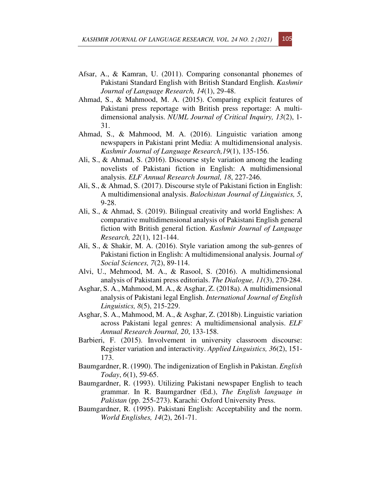- Afsar, A., & Kamran, U. (2011). Comparing consonantal phonemes of Pakistani Standard English with British Standard English. *Kashmir Journal of Language Research, 14*(1), 29-48.
- Ahmad, S., & Mahmood, M. A. (2015). Comparing explicit features of Pakistani press reportage with British press reportage: A multidimensional analysis. *NUML Journal of Critical Inquiry, 13*(2), 1- 31.
- Ahmad, S., & Mahmood, M. A. (2016). Linguistic variation among newspapers in Pakistani print Media: A multidimensional analysis. *Kashmir Journal of Language Research,19*(1), 135-156.
- Ali, S., & Ahmad, S. (2016). Discourse style variation among the leading novelists of Pakistani fiction in English: A multidimensional analysis. *ELF Annual Research Journal, 18*, 227-246.
- Ali, S., & Ahmad, S. (2017). Discourse style of Pakistani fiction in English: A multidimensional analysis. *Balochistan Journal of Linguistics, 5*, 9-28.
- Ali, S., & Ahmad, S. (2019). Bilingual creativity and world Englishes: A comparative multidimensional analysis of Pakistani English general fiction with British general fiction. *Kashmir Journal of Language Research, 22*(1), 121-144.
- Ali, S., & Shakir, M. A. (2016). Style variation among the sub-genres of Pakistani fiction in English: A multidimensional analysis. Journal *of Social Sciences, 7*(2), 89-114.
- Alvi, U., Mehmood, M. A., & Rasool, S. (2016). A multidimensional analysis of Pakistani press editorials. *The Dialogue, 11*(3), 270-284.
- Asghar, S. A., Mahmood, M. A., & Asghar, Z. (2018a). A multidimensional analysis of Pakistani legal English. *International Journal of English Linguistics, 8*(5), 215-229.
- Asghar, S. A., Mahmood, M. A., & Asghar, Z. (2018b). Linguistic variation across Pakistani legal genres: A multidimensional analysis. *ELF Annual Research Journal, 20*, 133-158.
- Barbieri, F. (2015). Involvement in university classroom discourse: Register variation and interactivity. *Applied Linguistics, 36*(2), 151- 173.
- Baumgardner, R. (1990). The indigenization of English in Pakistan. *English Today*, *6*(1), 59-65.
- Baumgardner, R. (1993). Utilizing Pakistani newspaper English to teach grammar. In R. Baumgardner (Ed.), *The English language in Pakistan* (pp. 255-273). Karachi: Oxford University Press.
- Baumgardner, R. (1995). Pakistani English: Acceptability and the norm. *World Englishes, 14*(2), 261-71.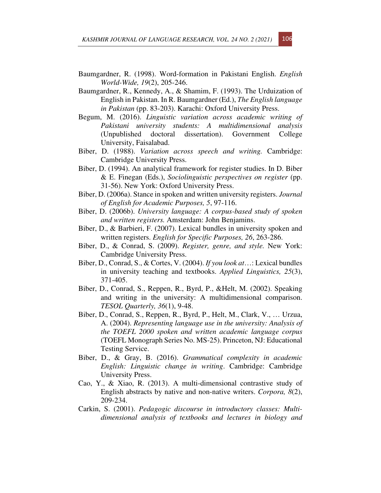- Baumgardner, R. (1998). Word-formation in Pakistani English. *English World-Wide, 19*(2), 205-246.
- Baumgardner, R., Kennedy, A., & Shamim, F. (1993). The Urduization of English in Pakistan. In R. Baumgardner (Ed.), *The English language in Pakistan* (pp. 83-203). Karachi: Oxford University Press.
- Begum, M. (2016). *Linguistic variation across academic writing of Pakistani university students: A multidimensional analysis* (Unpublished doctoral dissertation). Government College University, Faisalabad.
- Biber, D. (1988). *Variation across speech and writing.* Cambridge: Cambridge University Press.
- Biber, D. (1994). An analytical framework for register studies. In D. Biber & E. Finegan (Eds.), *Sociolinguistic perspectives on register* (pp. 31-56). New York: Oxford University Press.
- Biber, D. (2006a). Stance in spoken and written university registers. *Journal of English for Academic Purposes, 5*, 97-116.
- Biber, D. (2006b). *University language: A corpus-based study of spoken and written registers.* Amsterdam: John Benjamins.
- Biber, D., & Barbieri, F. (2007). Lexical bundles in university spoken and written registers. *English for Specific Purposes, 26*, 263-286.
- Biber, D., & Conrad, S. (2009). *Register, genre, and style.* New York: Cambridge University Press.
- Biber, D., Conrad, S., & Cortes, V. (2004). *If you look at*…: Lexical bundles in university teaching and textbooks. *Applied Linguistics, 25*(3), 371-405.
- Biber, D., Conrad, S., Reppen, R., Byrd, P., &Helt, M. (2002). Speaking and writing in the university: A multidimensional comparison. *TESOL Quarterly, 36*(1), 9-48.
- Biber, D., Conrad, S., Reppen, R., Byrd, P., Helt, M., Clark, V., … Urzua, A. (2004). *Representing language use in the university: Analysis of the TOEFL 2000 spoken and written academic language corpus* (TOEFL Monograph Series No. MS-25). Princeton, NJ: Educational Testing Service.
- Biber, D., & Gray, B. (2016). *Grammatical complexity in academic English: Linguistic change in writing*. Cambridge: Cambridge University Press.
- Cao, Y., & Xiao, R. (2013). A multi-dimensional contrastive study of English abstracts by native and non-native writers. *Corpora, 8*(2), 209-234.
- Carkin, S. (2001). *Pedagogic discourse in introductory classes: Multidimensional analysis of textbooks and lectures in biology and*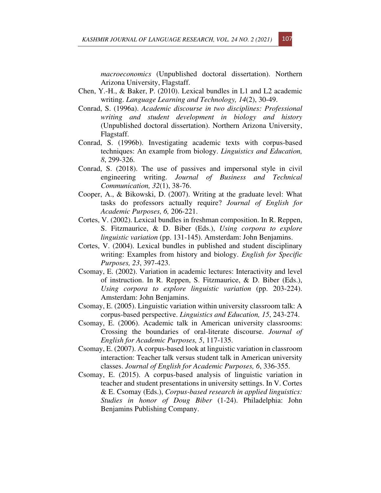*macroeconomics* (Unpublished doctoral dissertation). Northern Arizona University, Flagstaff.

- Chen, Y.-H., & Baker, P. (2010). Lexical bundles in L1 and L2 academic writing. *Language Learning and Technology, 14*(2), 30-49.
- Conrad, S. (1996a). *Academic discourse in two disciplines: Professional writing and student development in biology and history* (Unpublished doctoral dissertation). Northern Arizona University, Flagstaff.
- Conrad, S. (1996b). Investigating academic texts with corpus-based techniques: An example from biology. *Linguistics and Education, 8*, 299-326.
- Conrad, S. (2018). The use of passives and impersonal style in civil engineering writing. *Journal of Business and Technical Communication, 32*(1), 38-76.
- Cooper, A., & Bikowski, D. (2007). Writing at the graduate level: What tasks do professors actually require? *Journal of English for Academic Purposes, 6,* 206-221.
- Cortes, V. (2002). Lexical bundles in freshman composition. In R. Reppen, S. Fitzmaurice, & D. Biber (Eds.), *Using corpora to explore linguistic variation* (pp. 131-145). Amsterdam: John Benjamins.
- Cortes, V. (2004). Lexical bundles in published and student disciplinary writing: Examples from history and biology. *English for Specific Purposes, 23*, 397-423.
- Csomay, E. (2002). Variation in academic lectures: Interactivity and level of instruction. In R. Reppen, S. Fitzmaurice, & D. Biber (Eds.), *Using corpora to explore linguistic variation* (pp. 203-224). Amsterdam: John Benjamins.
- Csomay, E. (2005). Linguistic variation within university classroom talk: A corpus-based perspective. *Linguistics and Education, 15*, 243-274.
- Csomay, E. (2006). Academic talk in American university classrooms: Crossing the boundaries of oral-literate discourse. *Journal of English for Academic Purposes, 5*, 117-135.
- Csomay, E. (2007). A corpus-based look at linguistic variation in classroom interaction: Teacher talk versus student talk in American university classes. *Journal of English for Academic Purposes, 6*, 336-355.
- Csomay, E. (2015). A corpus-based analysis of linguistic variation in teacher and student presentations in university settings. In V. Cortes & E. Csomay (Eds.), *Corpus-based research in applied linguistics: Studies in honor of Doug Biber* (1-24). Philadelphia: John Benjamins Publishing Company.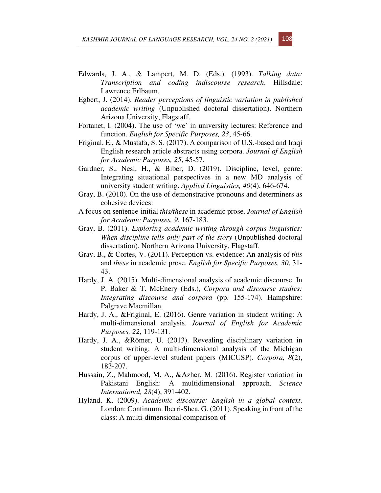- Edwards, J. A., & Lampert, M. D. (Eds.). (1993). *Talking data: Transcription and coding indiscourse research*. Hillsdale: Lawrence Erlbaum.
- Egbert, J. (2014). *Reader perceptions of linguistic variation in published academic writing* (Unpublished doctoral dissertation). Northern Arizona University, Flagstaff.
- Fortanet, I. (2004). The use of 'we' in university lectures: Reference and function. *English for Specific Purposes, 23*, 45-66.
- Friginal, E., & Mustafa, S. S. (2017). A comparison of U.S.-based and Iraqi English research article abstracts using corpora. *Journal of English for Academic Purposes, 25*, 45-57.
- Gardner, S., Nesi, H., & Biber, D. (2019). Discipline, level, genre: Integrating situational perspectives in a new MD analysis of university student writing. *Applied Linguistics, 40*(4), 646-674.
- Gray, B. (2010). On the use of demonstrative pronouns and determiners as cohesive devices:
- A focus on sentence-initial *this/these* in academic prose. *Journal of English for Academic Purposes, 9*, 167-183.
- Gray, B. (2011). *Exploring academic writing through corpus linguistics: When discipline tells only part of the story* (Unpublished doctoral dissertation). Northern Arizona University, Flagstaff.
- Gray, B., & Cortes, V. (2011). Perception vs. evidence: An analysis of *this* and *these* in academic prose. *English for Specific Purposes, 30*, 31- 43.
- Hardy, J. A. (2015). Multi-dimensional analysis of academic discourse. In P. Baker & T. McEnery (Eds.), *Corpora and discourse studies: Integrating discourse and corpora* (pp. 155-174). Hampshire: Palgrave Macmillan.
- Hardy, J. A., &Friginal, E. (2016). Genre variation in student writing: A multi-dimensional analysis. *Journal of English for Academic Purposes, 22*, 119-131.
- Hardy, J. A., &Römer, U. (2013). Revealing disciplinary variation in student writing: A multi-dimensional analysis of the Michigan corpus of upper-level student papers (MICUSP). *Corpora, 8*(2), 183-207.
- Hussain, Z., Mahmood, M. A., &Azher, M. (2016). Register variation in Pakistani English: A multidimensional approach. *Science International, 28*(4), 391-402.
- Hyland, K. (2009). *Academic discourse: English in a global context*. London: Continuum. Iberri-Shea, G. (2011). Speaking in front of the class: A multi-dimensional comparison of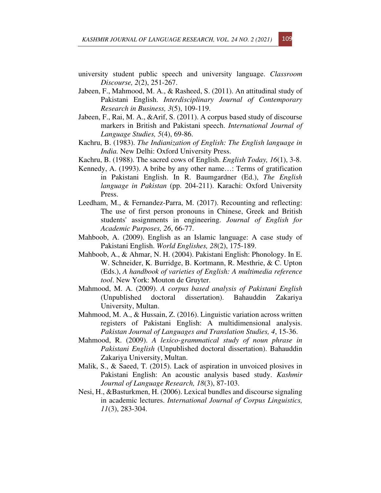- university student public speech and university language. *Classroom Discourse, 2*(2), 251-267.
- Jabeen, F., Mahmood, M. A., & Rasheed, S. (2011). An attitudinal study of Pakistani English. *Interdisciplinary Journal of Contemporary Research in Business, 3*(5), 109-119.
- Jabeen, F., Rai, M. A., &Arif, S. (2011). A corpus based study of discourse markers in British and Pakistani speech. *International Journal of Language Studies, 5*(4), 69-86.
- Kachru, B. (1983). *The Indianization of English: The English language in India.* New Delhi: Oxford University Press.
- Kachru, B. (1988). The sacred cows of English. *English Today, 16*(1), 3-8.
- Kennedy, A. (1993). A bribe by any other name…: Terms of gratification in Pakistani English. In R. Baumgardner (Ed.), *The English language in Pakistan* (pp. 204-211). Karachi: Oxford University Press.
- Leedham, M., & Fernandez-Parra, M. (2017). Recounting and reflecting: The use of first person pronouns in Chinese, Greek and British students' assignments in engineering. *Journal of English for Academic Purposes, 26*, 66-77.
- Mahboob, A. (2009). English as an Islamic language: A case study of Pakistani English. *World Englishes, 28*(2), 175-189.
- Mahboob, A., & Ahmar, N. H. (2004). Pakistani English: Phonology. In E. W. Schneider, K. Burridge, B. Kortmann, R. Mesthrie, & C. Upton (Eds.), *A handbook of varieties of English: A multimedia reference tool*. New York: Mouton de Gruyter.
- Mahmood, M. A. (2009). *A corpus based analysis of Pakistani English* (Unpublished doctoral dissertation). Bahauddin Zakariya University, Multan.
- Mahmood, M. A., & Hussain, Z. (2016). Linguistic variation across written registers of Pakistani English: A multidimensional analysis. *Pakistan Journal of Languages and Translation Studies, 4*, 15-36.
- Mahmood, R. (2009). *A lexico-grammatical study of noun phrase in Pakistani English* (Unpublished doctoral dissertation). Bahauddin Zakariya University, Multan.
- Malik, S., & Saeed, T. (2015). Lack of aspiration in unvoiced plosives in Pakistani English: An acoustic analysis based study. *Kashmir Journal of Language Research, 18*(3), 87-103.
- Nesi, H., &Basturkmen, H. (2006). Lexical bundles and discourse signaling in academic lectures. *International Journal of Corpus Linguistics, 11*(3), 283-304.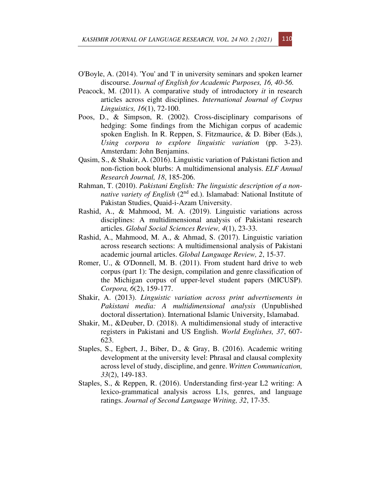- O'Boyle, A. (2014). 'You' and 'I' in university seminars and spoken learner discourse. *Journal of English for Academic Purposes, 16, 40-56.*
- Peacock, M. (2011). A comparative study of introductory *it* in research articles across eight disciplines. *International Journal of Corpus Linguistics, 16*(1), 72-100.
- Poos, D., & Simpson, R. (2002). Cross-disciplinary comparisons of hedging: Some findings from the Michigan corpus of academic spoken English. In R. Reppen, S. Fitzmaurice, & D. Biber (Eds.), *Using corpora to explore linguistic variation* (pp. 3-23). Amsterdam: John Benjamins.
- Qasim, S., & Shakir, A. (2016). Linguistic variation of Pakistani fiction and non-fiction book blurbs: A multidimensional analysis. *ELF Annual Research Journal, 18*, 185-206.
- Rahman, T. (2010). *Pakistani English: The linguistic description of a nonnative variety of English* (2<sup>nd</sup> ed.). Islamabad: National Institute of Pakistan Studies, Quaid-i-Azam University.
- Rashid, A., & Mahmood, M. A. (2019). Linguistic variations across disciplines: A multidimensional analysis of Pakistani research articles. *Global Social Sciences Review, 4*(1), 23-33.
- Rashid, A., Mahmood, M. A., & Ahmad, S. (2017). Linguistic variation across research sections: A multidimensional analysis of Pakistani academic journal articles. *Global Language Review, 2*, 15-37.
- Romer, U., & O'Donnell, M. B. (2011). From student hard drive to web corpus (part 1): The design, compilation and genre classification of the Michigan corpus of upper-level student papers (MICUSP). *Corpora, 6*(2), 159-177.
- Shakir, A. (2013). *Linguistic variation across print advertisements in Pakistani media: A multidimensional analysis* (Unpublished doctoral dissertation). International Islamic University, Islamabad.
- Shakir, M., &Deuber, D. (2018). A multidimensional study of interactive registers in Pakistani and US English. *World Englishes, 37*, 607- 623.
- Staples, S., Egbert, J., Biber, D., & Gray, B. (2016). Academic writing development at the university level: Phrasal and clausal complexity across level of study, discipline, and genre. *Written Communication, 33*(2), 149-183.
- Staples, S., & Reppen, R. (2016). Understanding first-year L2 writing: A lexico-grammatical analysis across L1s, genres, and language ratings. *Journal of Second Language Writing, 32*, 17-35.